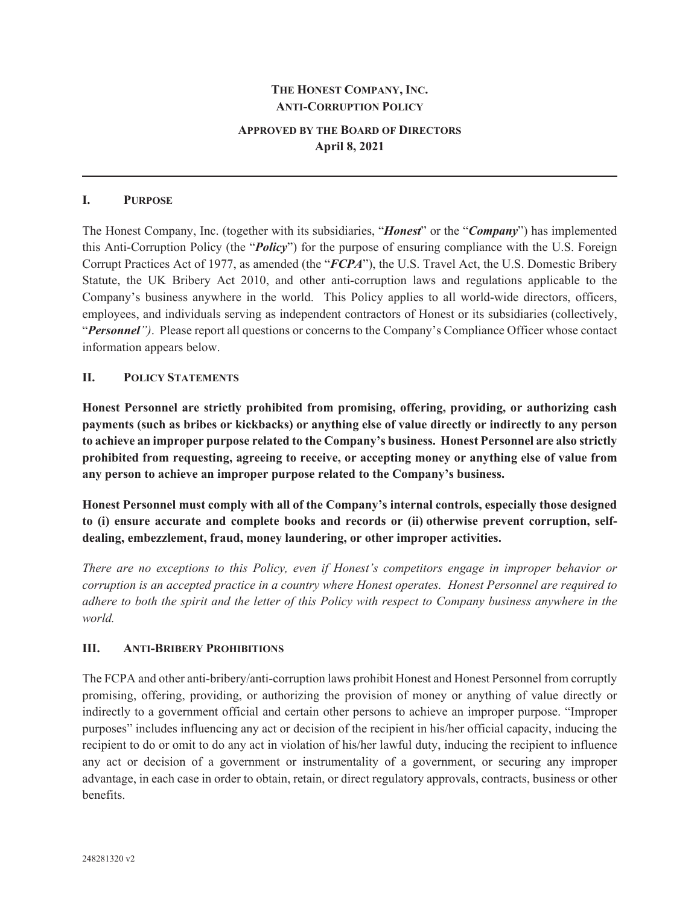## **THE HONEST COMPANY, INC. ANTI-CORRUPTION POLICY**

# **APPROVED BY THE BOARD OF DIRECTORS April 8, 2021**

#### **I. PURPOSE**

The Honest Company, Inc. (together with its subsidiaries, "*Honest*" or the "*Company*") has implemented this Anti-Corruption Policy (the "*Policy*") for the purpose of ensuring compliance with the U.S. Foreign Corrupt Practices Act of 1977, as amended (the "*FCPA*"), the U.S. Travel Act, the U.S. Domestic Bribery Statute, the UK Bribery Act 2010, and other anti-corruption laws and regulations applicable to the Company's business anywhere in the world. This Policy applies to all world-wide directors, officers, employees, and individuals serving as independent contractors of Honest or its subsidiaries (collectively, "*Personnel")*. Please report all questions or concerns to the Company's Compliance Officer whose contact information appears below.

### **II. POLICY STATEMENTS**

**Honest Personnel are strictly prohibited from promising, offering, providing, or authorizing cash payments (such as bribes or kickbacks) or anything else of value directly or indirectly to any person to achieve an improper purpose related to the Company's business. Honest Personnel are also strictly prohibited from requesting, agreeing to receive, or accepting money or anything else of value from any person to achieve an improper purpose related to the Company's business.** 

**Honest Personnel must comply with all of the Company's internal controls, especially those designed to (i) ensure accurate and complete books and records or (ii) otherwise prevent corruption, selfdealing, embezzlement, fraud, money laundering, or other improper activities.** 

*There are no exceptions to this Policy, even if Honest's competitors engage in improper behavior or corruption is an accepted practice in a country where Honest operates. Honest Personnel are required to adhere to both the spirit and the letter of this Policy with respect to Company business anywhere in the world.*

### **III. ANTI-BRIBERY PROHIBITIONS**

The FCPA and other anti-bribery/anti-corruption laws prohibit Honest and Honest Personnel from corruptly promising, offering, providing, or authorizing the provision of money or anything of value directly or indirectly to a government official and certain other persons to achieve an improper purpose. "Improper purposes" includes influencing any act or decision of the recipient in his/her official capacity, inducing the recipient to do or omit to do any act in violation of his/her lawful duty, inducing the recipient to influence any act or decision of a government or instrumentality of a government, or securing any improper advantage, in each case in order to obtain, retain, or direct regulatory approvals, contracts, business or other benefits.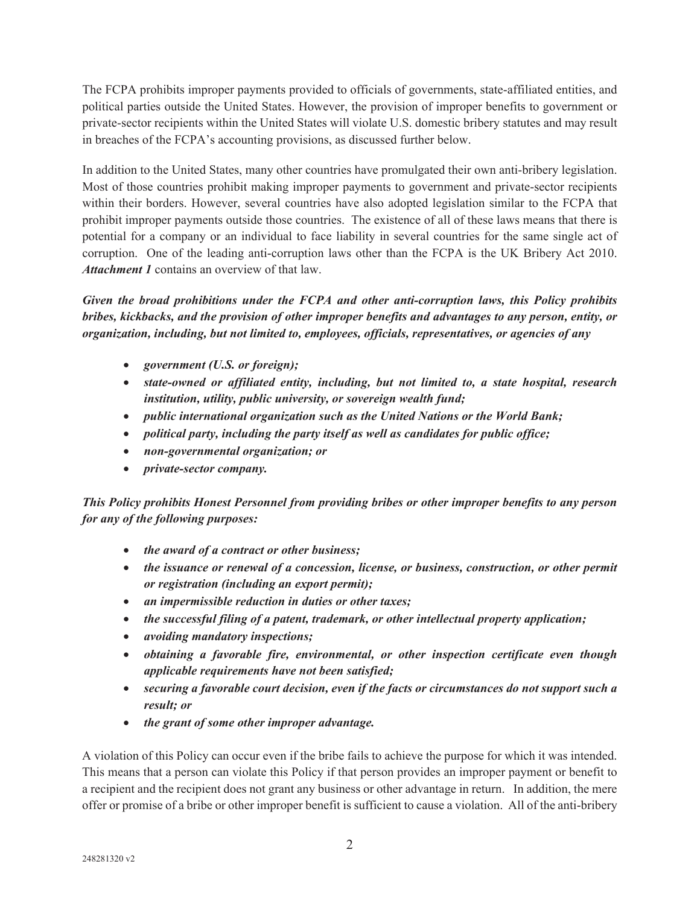The FCPA prohibits improper payments provided to officials of governments, state-affiliated entities, and political parties outside the United States. However, the provision of improper benefits to government or private-sector recipients within the United States will violate U.S. domestic bribery statutes and may result in breaches of the FCPA's accounting provisions, as discussed further below.

In addition to the United States, many other countries have promulgated their own anti-bribery legislation. Most of those countries prohibit making improper payments to government and private-sector recipients within their borders. However, several countries have also adopted legislation similar to the FCPA that prohibit improper payments outside those countries. The existence of all of these laws means that there is potential for a company or an individual to face liability in several countries for the same single act of corruption. One of the leading anti-corruption laws other than the FCPA is the UK Bribery Act 2010. *Attachment 1* contains an overview of that law.

*Given the broad prohibitions under the FCPA and other anti-corruption laws, this Policy prohibits bribes, kickbacks, and the provision of other improper benefits and advantages to any person, entity, or organization, including, but not limited to, employees, officials, representatives, or agencies of any* 

- x *government (U.S. or foreign);*
- x *state-owned or affiliated entity, including, but not limited to, a state hospital, research institution, utility, public university, or sovereign wealth fund;*
- x *public international organization such as the United Nations or the World Bank;*
- *political party, including the party itself as well as candidates for public office;*
- x *non-governmental organization; or*
- x *private-sector company.*

*This Policy prohibits Honest Personnel from providing bribes or other improper benefits to any person for any of the following purposes:* 

- x *the award of a contract or other business;*
- x *the issuance or renewal of a concession, license, or business, construction, or other permit or registration (including an export permit);*
- x *an impermissible reduction in duties or other taxes;*
- the successful filing of a patent, trademark, or other intellectual property application;
- x *avoiding mandatory inspections;*
- x *obtaining a favorable fire, environmental, or other inspection certificate even though applicable requirements have not been satisfied;*
- **•** securing a favorable court decision, even if the facts or circumstances do not support such a *result; or*
- x *the grant of some other improper advantage.*

A violation of this Policy can occur even if the bribe fails to achieve the purpose for which it was intended. This means that a person can violate this Policy if that person provides an improper payment or benefit to a recipient and the recipient does not grant any business or other advantage in return. In addition, the mere offer or promise of a bribe or other improper benefit is sufficient to cause a violation. All of the anti-bribery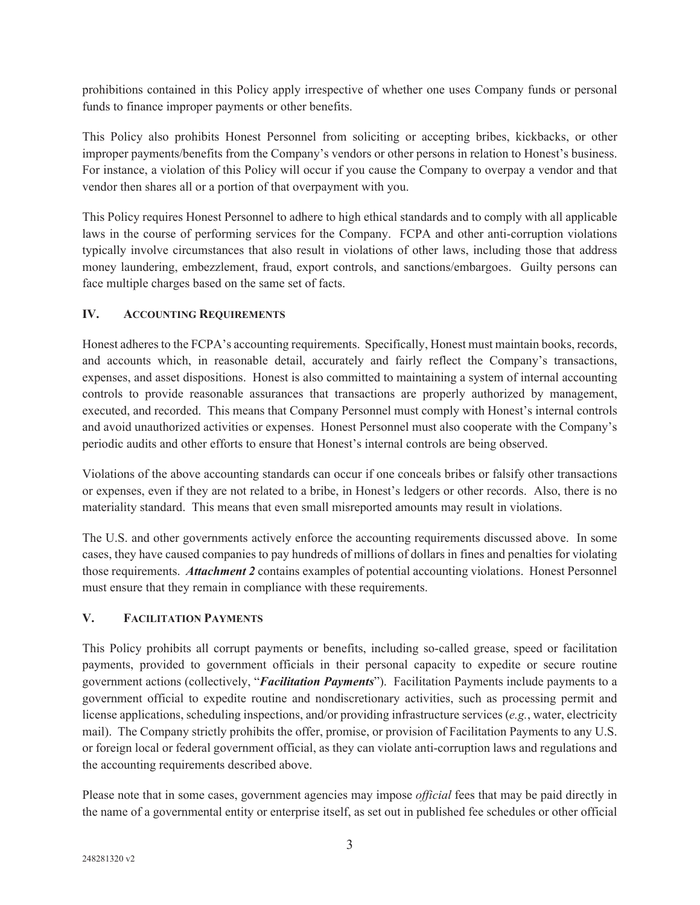prohibitions contained in this Policy apply irrespective of whether one uses Company funds or personal funds to finance improper payments or other benefits.

This Policy also prohibits Honest Personnel from soliciting or accepting bribes, kickbacks, or other improper payments/benefits from the Company's vendors or other persons in relation to Honest's business. For instance, a violation of this Policy will occur if you cause the Company to overpay a vendor and that vendor then shares all or a portion of that overpayment with you.

This Policy requires Honest Personnel to adhere to high ethical standards and to comply with all applicable laws in the course of performing services for the Company. FCPA and other anti-corruption violations typically involve circumstances that also result in violations of other laws, including those that address money laundering, embezzlement, fraud, export controls, and sanctions/embargoes. Guilty persons can face multiple charges based on the same set of facts.

# **IV. ACCOUNTING REQUIREMENTS**

Honest adheres to the FCPA's accounting requirements. Specifically, Honest must maintain books, records, and accounts which, in reasonable detail, accurately and fairly reflect the Company's transactions, expenses, and asset dispositions. Honest is also committed to maintaining a system of internal accounting controls to provide reasonable assurances that transactions are properly authorized by management, executed, and recorded. This means that Company Personnel must comply with Honest's internal controls and avoid unauthorized activities or expenses. Honest Personnel must also cooperate with the Company's periodic audits and other efforts to ensure that Honest's internal controls are being observed.

Violations of the above accounting standards can occur if one conceals bribes or falsify other transactions or expenses, even if they are not related to a bribe, in Honest's ledgers or other records. Also, there is no materiality standard. This means that even small misreported amounts may result in violations.

The U.S. and other governments actively enforce the accounting requirements discussed above. In some cases, they have caused companies to pay hundreds of millions of dollars in fines and penalties for violating those requirements. *Attachment 2* contains examples of potential accounting violations. Honest Personnel must ensure that they remain in compliance with these requirements.

## **V. FACILITATION PAYMENTS**

This Policy prohibits all corrupt payments or benefits, including so-called grease, speed or facilitation payments, provided to government officials in their personal capacity to expedite or secure routine government actions (collectively, "*Facilitation Payments*"). Facilitation Payments include payments to a government official to expedite routine and nondiscretionary activities, such as processing permit and license applications, scheduling inspections, and/or providing infrastructure services (*e.g.*, water, electricity mail). The Company strictly prohibits the offer, promise, or provision of Facilitation Payments to any U.S. or foreign local or federal government official, as they can violate anti-corruption laws and regulations and the accounting requirements described above.

Please note that in some cases, government agencies may impose *official* fees that may be paid directly in the name of a governmental entity or enterprise itself, as set out in published fee schedules or other official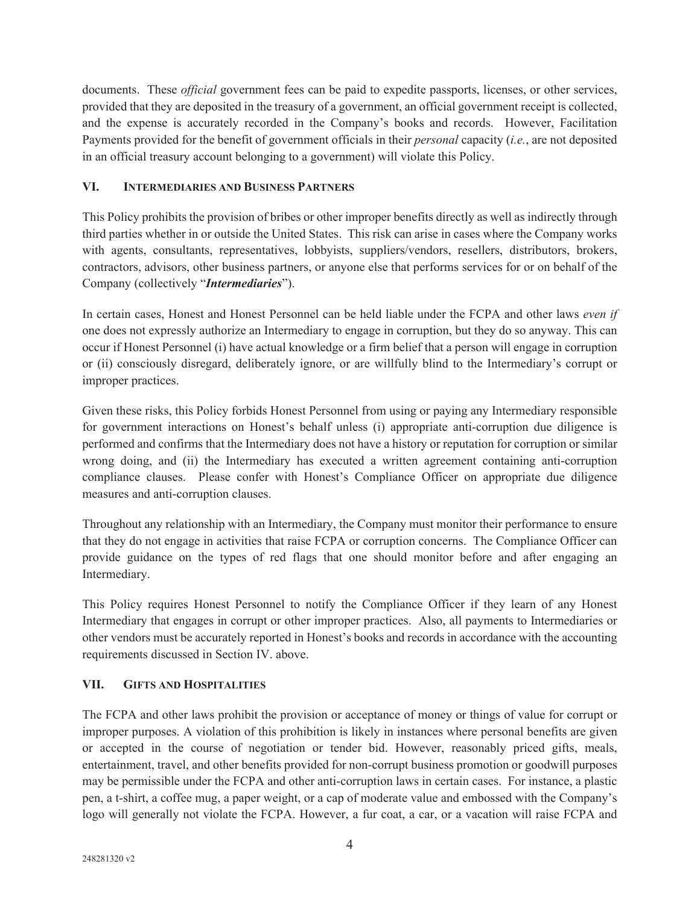documents. These *official* government fees can be paid to expedite passports, licenses, or other services, provided that they are deposited in the treasury of a government, an official government receipt is collected, and the expense is accurately recorded in the Company's books and records. However, Facilitation Payments provided for the benefit of government officials in their *personal* capacity (*i.e.*, are not deposited in an official treasury account belonging to a government) will violate this Policy.

## **VI. INTERMEDIARIES AND BUSINESS PARTNERS**

This Policy prohibits the provision of bribes or other improper benefits directly as well as indirectly through third parties whether in or outside the United States. This risk can arise in cases where the Company works with agents, consultants, representatives, lobbyists, suppliers/vendors, resellers, distributors, brokers, contractors, advisors, other business partners, or anyone else that performs services for or on behalf of the Company (collectively "*Intermediaries*").

In certain cases, Honest and Honest Personnel can be held liable under the FCPA and other laws *even if* one does not expressly authorize an Intermediary to engage in corruption, but they do so anyway. This can occur if Honest Personnel (i) have actual knowledge or a firm belief that a person will engage in corruption or (ii) consciously disregard, deliberately ignore, or are willfully blind to the Intermediary's corrupt or improper practices.

Given these risks, this Policy forbids Honest Personnel from using or paying any Intermediary responsible for government interactions on Honest's behalf unless (i) appropriate anti-corruption due diligence is performed and confirms that the Intermediary does not have a history or reputation for corruption or similar wrong doing, and (ii) the Intermediary has executed a written agreement containing anti-corruption compliance clauses. Please confer with Honest's Compliance Officer on appropriate due diligence measures and anti-corruption clauses.

Throughout any relationship with an Intermediary, the Company must monitor their performance to ensure that they do not engage in activities that raise FCPA or corruption concerns. The Compliance Officer can provide guidance on the types of red flags that one should monitor before and after engaging an Intermediary.

This Policy requires Honest Personnel to notify the Compliance Officer if they learn of any Honest Intermediary that engages in corrupt or other improper practices. Also, all payments to Intermediaries or other vendors must be accurately reported in Honest's books and records in accordance with the accounting requirements discussed in Section IV. above.

## **VII. GIFTS AND HOSPITALITIES**

The FCPA and other laws prohibit the provision or acceptance of money or things of value for corrupt or improper purposes. A violation of this prohibition is likely in instances where personal benefits are given or accepted in the course of negotiation or tender bid. However, reasonably priced gifts, meals, entertainment, travel, and other benefits provided for non-corrupt business promotion or goodwill purposes may be permissible under the FCPA and other anti-corruption laws in certain cases. For instance, a plastic pen, a t-shirt, a coffee mug, a paper weight, or a cap of moderate value and embossed with the Company's logo will generally not violate the FCPA. However, a fur coat, a car, or a vacation will raise FCPA and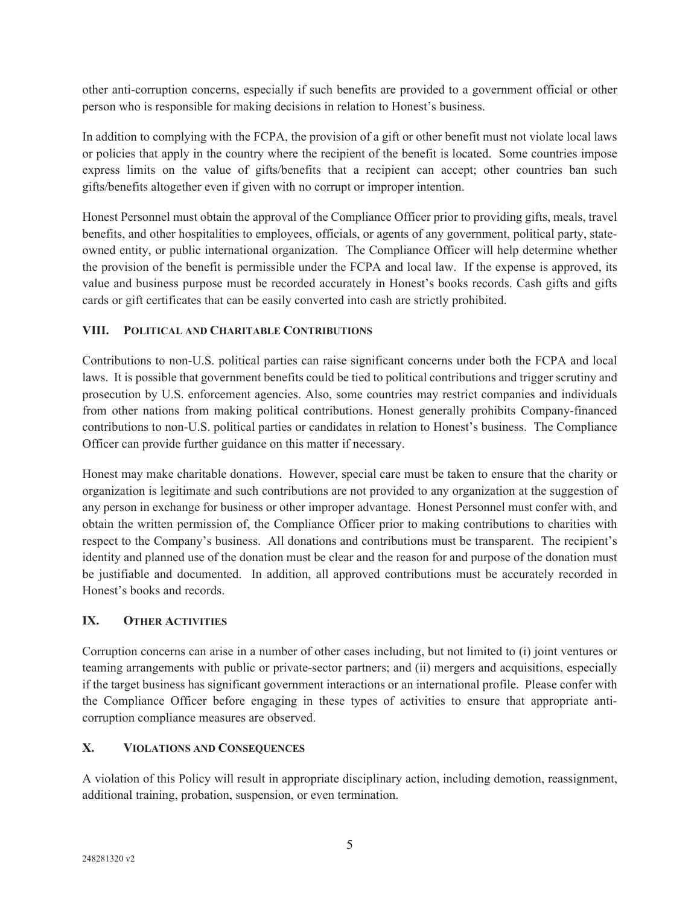other anti-corruption concerns, especially if such benefits are provided to a government official or other person who is responsible for making decisions in relation to Honest's business.

In addition to complying with the FCPA, the provision of a gift or other benefit must not violate local laws or policies that apply in the country where the recipient of the benefit is located. Some countries impose express limits on the value of gifts/benefits that a recipient can accept; other countries ban such gifts/benefits altogether even if given with no corrupt or improper intention.

Honest Personnel must obtain the approval of the Compliance Officer prior to providing gifts, meals, travel benefits, and other hospitalities to employees, officials, or agents of any government, political party, stateowned entity, or public international organization. The Compliance Officer will help determine whether the provision of the benefit is permissible under the FCPA and local law. If the expense is approved, its value and business purpose must be recorded accurately in Honest's books records. Cash gifts and gifts cards or gift certificates that can be easily converted into cash are strictly prohibited.

## **VIII. POLITICAL AND CHARITABLE CONTRIBUTIONS**

Contributions to non-U.S. political parties can raise significant concerns under both the FCPA and local laws. It is possible that government benefits could be tied to political contributions and trigger scrutiny and prosecution by U.S. enforcement agencies. Also, some countries may restrict companies and individuals from other nations from making political contributions. Honest generally prohibits Company-financed contributions to non-U.S. political parties or candidates in relation to Honest's business. The Compliance Officer can provide further guidance on this matter if necessary.

Honest may make charitable donations. However, special care must be taken to ensure that the charity or organization is legitimate and such contributions are not provided to any organization at the suggestion of any person in exchange for business or other improper advantage. Honest Personnel must confer with, and obtain the written permission of, the Compliance Officer prior to making contributions to charities with respect to the Company's business. All donations and contributions must be transparent. The recipient's identity and planned use of the donation must be clear and the reason for and purpose of the donation must be justifiable and documented. In addition, all approved contributions must be accurately recorded in Honest's books and records.

## **IX. OTHER ACTIVITIES**

Corruption concerns can arise in a number of other cases including, but not limited to (i) joint ventures or teaming arrangements with public or private-sector partners; and (ii) mergers and acquisitions, especially if the target business has significant government interactions or an international profile. Please confer with the Compliance Officer before engaging in these types of activities to ensure that appropriate anticorruption compliance measures are observed.

## **X. VIOLATIONS AND CONSEQUENCES**

A violation of this Policy will result in appropriate disciplinary action, including demotion, reassignment, additional training, probation, suspension, or even termination.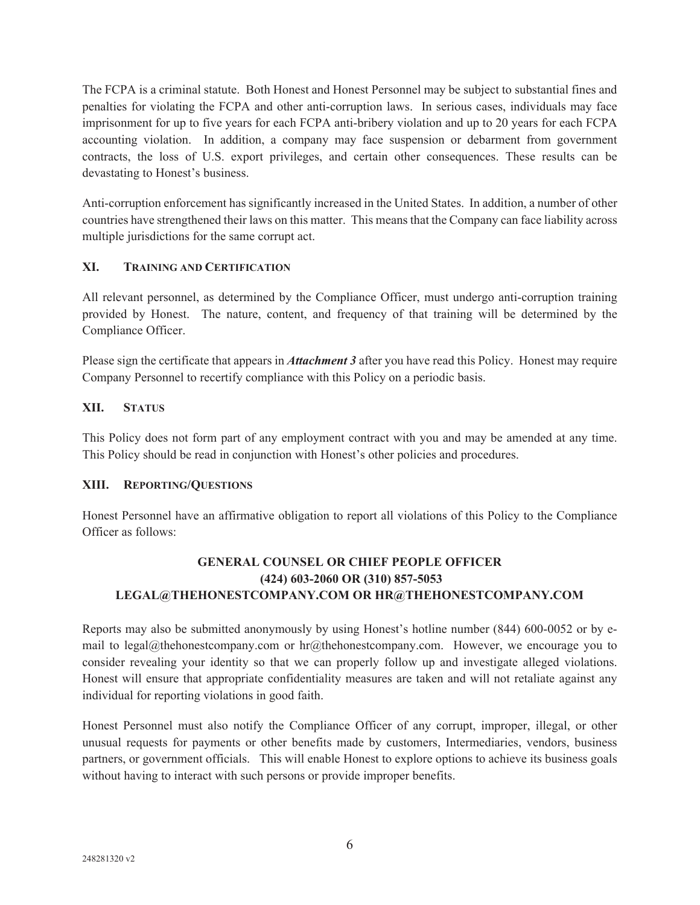The FCPA is a criminal statute. Both Honest and Honest Personnel may be subject to substantial fines and penalties for violating the FCPA and other anti-corruption laws. In serious cases, individuals may face imprisonment for up to five years for each FCPA anti-bribery violation and up to 20 years for each FCPA accounting violation. In addition, a company may face suspension or debarment from government contracts, the loss of U.S. export privileges, and certain other consequences. These results can be devastating to Honest's business.

Anti-corruption enforcement has significantly increased in the United States. In addition, a number of other countries have strengthened their laws on this matter. This means that the Company can face liability across multiple jurisdictions for the same corrupt act.

## **XI. TRAINING AND CERTIFICATION**

All relevant personnel, as determined by the Compliance Officer, must undergo anti-corruption training provided by Honest. The nature, content, and frequency of that training will be determined by the Compliance Officer.

Please sign the certificate that appears in *Attachment 3* after you have read this Policy. Honest may require Company Personnel to recertify compliance with this Policy on a periodic basis.

## **XII. STATUS**

This Policy does not form part of any employment contract with you and may be amended at any time. This Policy should be read in conjunction with Honest's other policies and procedures.

### **XIII. REPORTING/QUESTIONS**

Honest Personnel have an affirmative obligation to report all violations of this Policy to the Compliance Officer as follows:

# **GENERAL COUNSEL OR CHIEF PEOPLE OFFICER (424) 603-2060 OR (310) 857-5053 LEGAL@THEHONESTCOMPANY.COM OR HR@THEHONESTCOMPANY.COM**

Reports may also be submitted anonymously by using Honest's hotline number (844) 600-0052 or by email to legal@thehonestcompany.com or hr@thehonestcompany.com. However, we encourage you to consider revealing your identity so that we can properly follow up and investigate alleged violations. Honest will ensure that appropriate confidentiality measures are taken and will not retaliate against any individual for reporting violations in good faith.

Honest Personnel must also notify the Compliance Officer of any corrupt, improper, illegal, or other unusual requests for payments or other benefits made by customers, Intermediaries, vendors, business partners, or government officials. This will enable Honest to explore options to achieve its business goals without having to interact with such persons or provide improper benefits.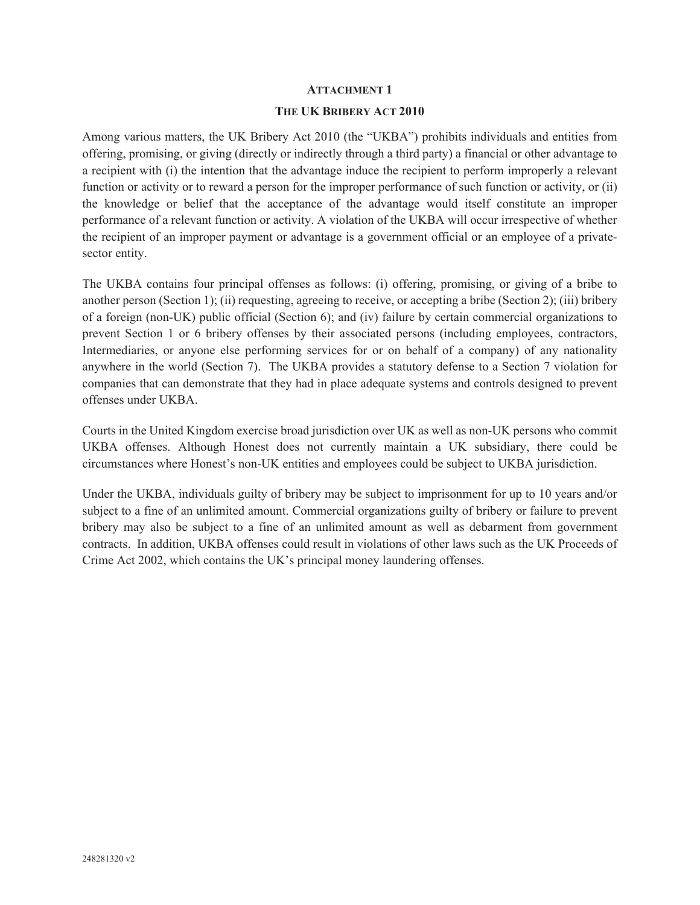#### **ATTACHMENT 1**

#### **THE UK BRIBERY ACT 2010**

Among various matters, the UK Bribery Act 2010 (the "UKBA") prohibits individuals and entities from offering, promising, or giving (directly or indirectly through a third party) a financial or other advantage to a recipient with (i) the intention that the advantage induce the recipient to perform improperly a relevant function or activity or to reward a person for the improper performance of such function or activity, or (ii) the knowledge or belief that the acceptance of the advantage would itself constitute an improper performance of a relevant function or activity. A violation of the UKBA will occur irrespective of whether the recipient of an improper payment or advantage is a government official or an employee of a privatesector entity.

The UKBA contains four principal offenses as follows: (i) offering, promising, or giving of a bribe to another person (Section 1); (ii) requesting, agreeing to receive, or accepting a bribe (Section 2); (iii) bribery of a foreign (non-UK) public official (Section 6); and (iv) failure by certain commercial organizations to prevent Section 1 or 6 bribery offenses by their associated persons (including employees, contractors, Intermediaries, or anyone else performing services for or on behalf of a company) of any nationality anywhere in the world (Section 7). The UKBA provides a statutory defense to a Section 7 violation for companies that can demonstrate that they had in place adequate systems and controls designed to prevent offenses under UKBA.

Courts in the United Kingdom exercise broad jurisdiction over UK as well as non-UK persons who commit UKBA offenses. Although Honest does not currently maintain a UK subsidiary, there could be circumstances where Honest's non-UK entities and employees could be subject to UKBA jurisdiction.

Under the UKBA, individuals guilty of bribery may be subject to imprisonment for up to 10 years and/or subject to a fine of an unlimited amount. Commercial organizations guilty of bribery or failure to prevent bribery may also be subject to a fine of an unlimited amount as well as debarment from government contracts. In addition, UKBA offenses could result in violations of other laws such as the UK Proceeds of Crime Act 2002, which contains the UK's principal money laundering offenses.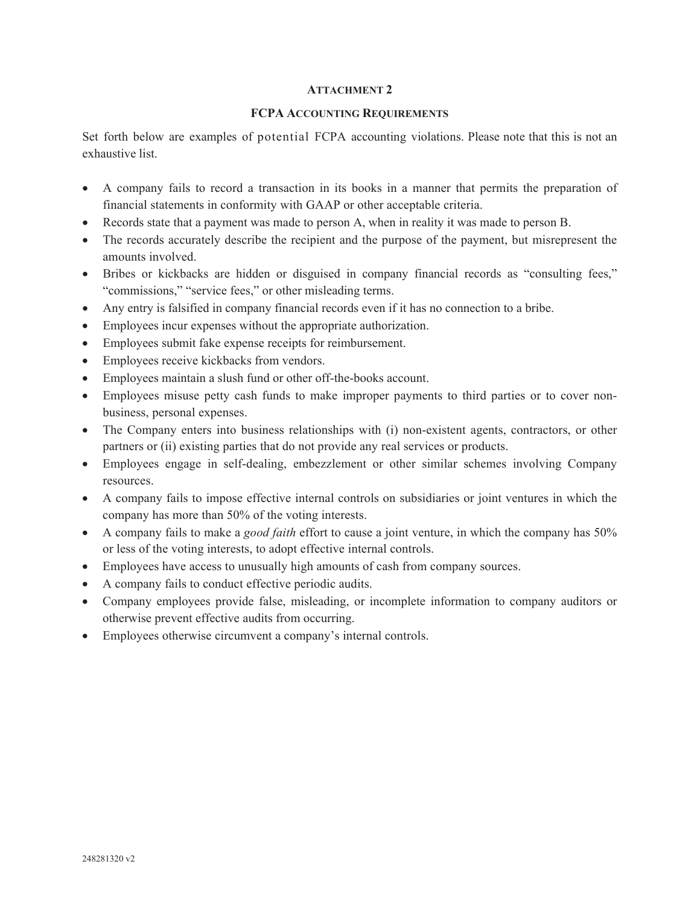#### **ATTACHMENT 2**

#### **FCPA ACCOUNTING REQUIREMENTS**

Set forth below are examples of potential FCPA accounting violations. Please note that this is not an exhaustive list.

- A company fails to record a transaction in its books in a manner that permits the preparation of financial statements in conformity with GAAP or other acceptable criteria.
- Records state that a payment was made to person A, when in reality it was made to person B.
- The records accurately describe the recipient and the purpose of the payment, but misrepresent the amounts involved.
- Bribes or kickbacks are hidden or disguised in company financial records as "consulting fees," "commissions," "service fees," or other misleading terms.
- Any entry is falsified in company financial records even if it has no connection to a bribe.
- Employees incur expenses without the appropriate authorization.
- Employees submit fake expense receipts for reimbursement.
- Employees receive kickbacks from vendors.
- Employees maintain a slush fund or other off-the-books account.
- Employees misuse petty cash funds to make improper payments to third parties or to cover nonbusiness, personal expenses.
- $\bullet$  The Company enters into business relationships with (i) non-existent agents, contractors, or other partners or (ii) existing parties that do not provide any real services or products.
- Employees engage in self-dealing, embezzlement or other similar schemes involving Company resources.
- x A company fails to impose effective internal controls on subsidiaries or joint ventures in which the company has more than 50% of the voting interests.
- x A company fails to make a *good faith* effort to cause a joint venture, in which the company has 50% or less of the voting interests, to adopt effective internal controls.
- Employees have access to unusually high amounts of cash from company sources.
- A company fails to conduct effective periodic audits.
- Company employees provide false, misleading, or incomplete information to company auditors or otherwise prevent effective audits from occurring.
- Employees otherwise circumvent a company's internal controls.